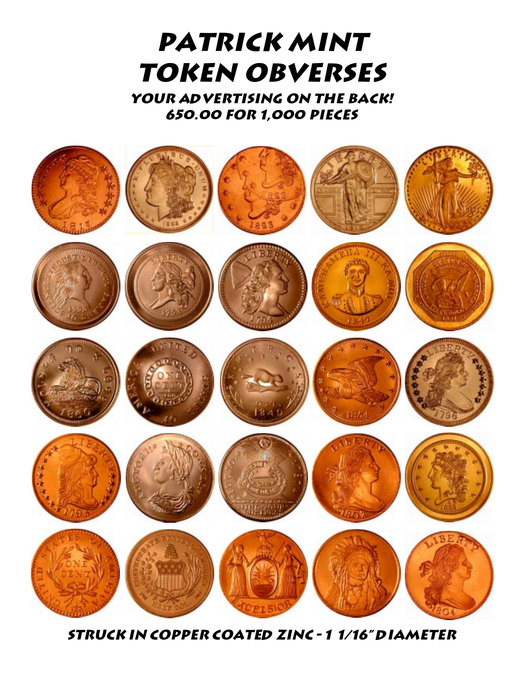# **PATRICK MINT TOKEN OBVERSES**

YOUR ADVERTISING ON THE BACK! 650.00 FOR 1,000 PIECES



**STRUCK IN COPPER COATED ZINC - 1 1/16" DIAMETER**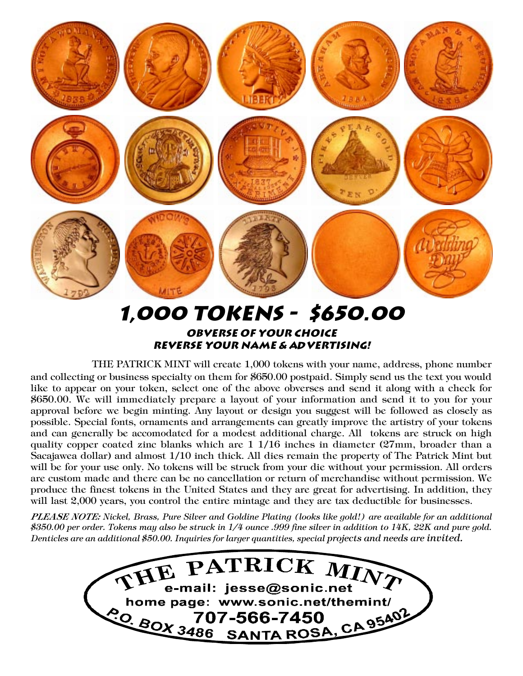

OBVERSE OF YOUR CHOICE REVERSE YOUR NAME & ADVERTISING!

THE PATRICK MINT will create 1,000 tokens with your name, address, phone number and collecting or business specialty on them for \$650.00 postpaid. Simply send us the text you would like to appear on your token, select one of the above obverses and send it along with a check for \$650.00. We will immediately prepare a layout of your information and send it to you for your approval before we begin minting. Any layout or design you suggest will be followed as closely as possible. Special fonts, ornaments and arrangements can greatly improve the artistry of your tokens and can generally be accomodated for a modest additional charge. All tokens are struck on high quality copper coated zinc blanks which are 1 1/16 inches in diameter (27mm, broader than a Sacajawea dollar) and almost 1/10 inch thick. All dies remain the property of The Patrick Mint but will be for your use only. No tokens will be struck from your die without your permission. All orders are custom made and there can be no cancellation or return of merchandise without permission. We produce the finest tokens in the United States and they are great for advertising. In addition, they will last 2,000 years, you control the entire mintage and they are tax deductible for businesses.

PLEASE NOTE: Nickel, Brass, Pure Silver and Goldine Plating (looks like gold!) are available for an additional \$350.00 per order. Tokens may also be struck in  $1/4$  ounce .999 fine silver in addition to 14K, 22K and pure gold. Denticles are an additional \$50.00. Inquiries for larger quantities, special projects and needs are invited.